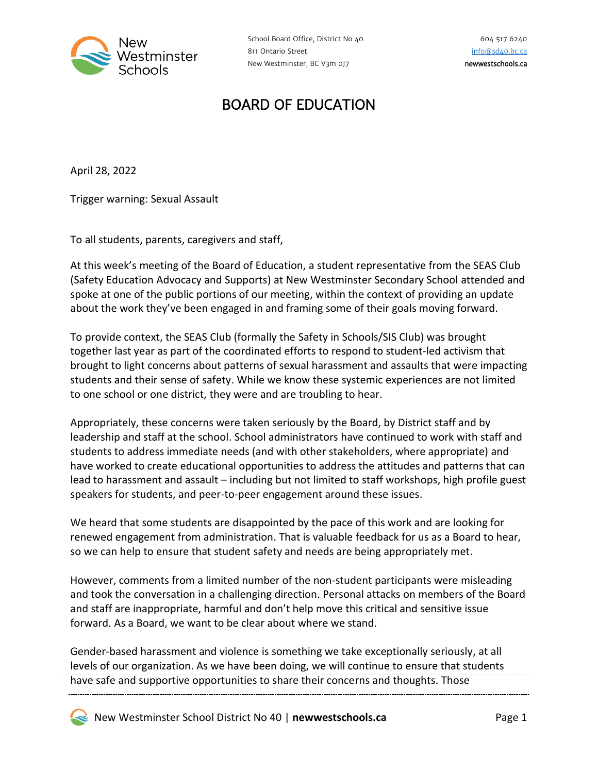

## BOARD OF EDUCATION

April 28, 2022

Trigger warning: Sexual Assault

To all students, parents, caregivers and staff,

At this week's meeting of the Board of Education, a student representative from the SEAS Club (Safety Education Advocacy and Supports) at New Westminster Secondary School attended and spoke at one of the public portions of our meeting, within the context of providing an update about the work they've been engaged in and framing some of their goals moving forward.

To provide context, the SEAS Club (formally the Safety in Schools/SIS Club) was brought together last year as part of the coordinated efforts to respond to student-led activism that brought to light concerns about patterns of sexual harassment and assaults that were impacting students and their sense of safety. While we know these systemic experiences are not limited to one school or one district, they were and are troubling to hear.

Appropriately, these concerns were taken seriously by the Board, by District staff and by leadership and staff at the school. School administrators have continued to work with staff and students to address immediate needs (and with other stakeholders, where appropriate) and have worked to create educational opportunities to address the attitudes and patterns that can lead to harassment and assault – including but not limited to staff workshops, high profile guest speakers for students, and peer-to-peer engagement around these issues.

We heard that some students are disappointed by the pace of this work and are looking for renewed engagement from administration. That is valuable feedback for us as a Board to hear, so we can help to ensure that student safety and needs are being appropriately met.

However, comments from a limited number of the non-student participants were misleading and took the conversation in a challenging direction. Personal attacks on members of the Board and staff are inappropriate, harmful and don't help move this critical and sensitive issue forward. As a Board, we want to be clear about where we stand.

Gender-based harassment and violence is something we take exceptionally seriously, at all levels of our organization. As we have been doing, we will continue to ensure that students have safe and supportive opportunities to share their concerns and thoughts. Those